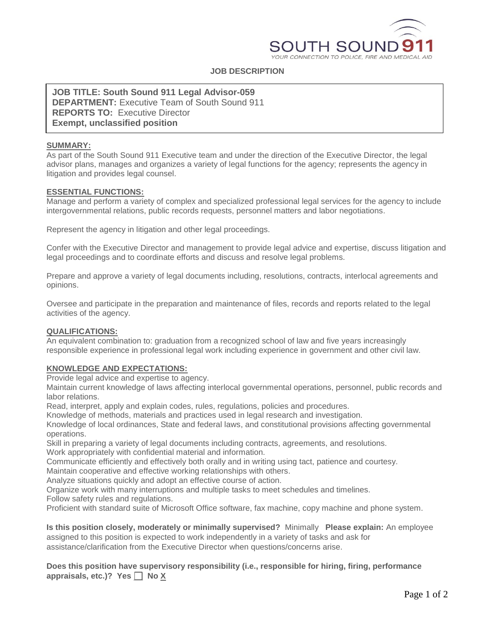

# **JOB DESCRIPTION**

**JOB TITLE: South Sound 911 Legal Advisor-059 DEPARTMENT:** Executive Team of South Sound 911 **REPORTS TO:** Executive Director **Exempt, unclassified position**

### **SUMMARY:**

As part of the South Sound 911 Executive team and under the direction of the Executive Director, the legal advisor plans, manages and organizes a variety of legal functions for the agency; represents the agency in litigation and provides legal counsel.

## **ESSENTIAL FUNCTIONS:**

Manage and perform a variety of complex and specialized professional legal services for the agency to include intergovernmental relations, public records requests, personnel matters and labor negotiations.

Represent the agency in litigation and other legal proceedings.

Confer with the Executive Director and management to provide legal advice and expertise, discuss litigation and legal proceedings and to coordinate efforts and discuss and resolve legal problems.

Prepare and approve a variety of legal documents including, resolutions, contracts, interlocal agreements and opinions.

Oversee and participate in the preparation and maintenance of files, records and reports related to the legal activities of the agency.

#### **QUALIFICATIONS:**

An equivalent combination to: graduation from a recognized school of law and five years increasingly responsible experience in professional legal work including experience in government and other civil law.

# **KNOWLEDGE AND EXPECTATIONS:**

Provide legal advice and expertise to agency.

Maintain current knowledge of laws affecting interlocal governmental operations, personnel, public records and labor relations.

Read, interpret, apply and explain codes, rules, regulations, policies and procedures.

Knowledge of methods, materials and practices used in legal research and investigation.

Knowledge of local ordinances, State and federal laws, and constitutional provisions affecting governmental operations.

Skill in preparing a variety of legal documents including contracts, agreements, and resolutions. Work appropriately with confidential material and information.

Communicate efficiently and effectively both orally and in writing using tact, patience and courtesy.

Maintain cooperative and effective working relationships with others.

Analyze situations quickly and adopt an effective course of action.

Organize work with many interruptions and multiple tasks to meet schedules and timelines.

Follow safety rules and regulations.

Proficient with standard suite of Microsoft Office software, fax machine, copy machine and phone system.

**Is this position closely, moderately or minimally supervised?** Minimally **Please explain:** An employee assigned to this position is expected to work independently in a variety of tasks and ask for assistance/clarification from the Executive Director when questions/concerns arise.

**Does this position have supervisory responsibility (i.e., responsible for hiring, firing, performance**  appraisals, etc.)? Yes **No** X